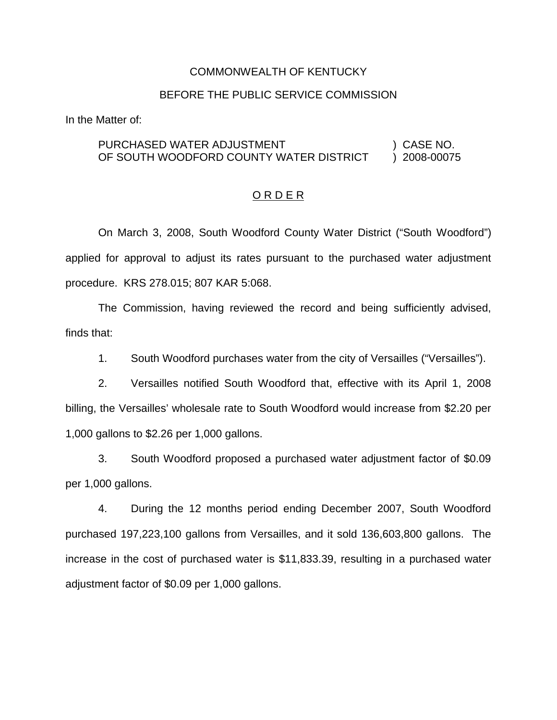### COMMONWEALTH OF KENTUCKY

### BEFORE THE PUBLIC SERVICE COMMISSION

In the Matter of:

### PURCHASED WATER ADJUSTMENT (2008) CASE NO. OF SOUTH WOODFORD COUNTY WATER DISTRICT ) 2008-00075

### O R D E R

On March 3, 2008, South Woodford County Water District ("South Woodford") applied for approval to adjust its rates pursuant to the purchased water adjustment procedure. KRS 278.015; 807 KAR 5:068.

The Commission, having reviewed the record and being sufficiently advised, finds that:

1. South Woodford purchases water from the city of Versailles ("Versailles").

2. Versailles notified South Woodford that, effective with its April 1, 2008 billing, the Versailles' wholesale rate to South Woodford would increase from \$2.20 per 1,000 gallons to \$2.26 per 1,000 gallons.

3. South Woodford proposed a purchased water adjustment factor of \$0.09 per 1,000 gallons.

4. During the 12 months period ending December 2007, South Woodford purchased 197,223,100 gallons from Versailles, and it sold 136,603,800 gallons. The increase in the cost of purchased water is \$11,833.39, resulting in a purchased water adjustment factor of \$0.09 per 1,000 gallons.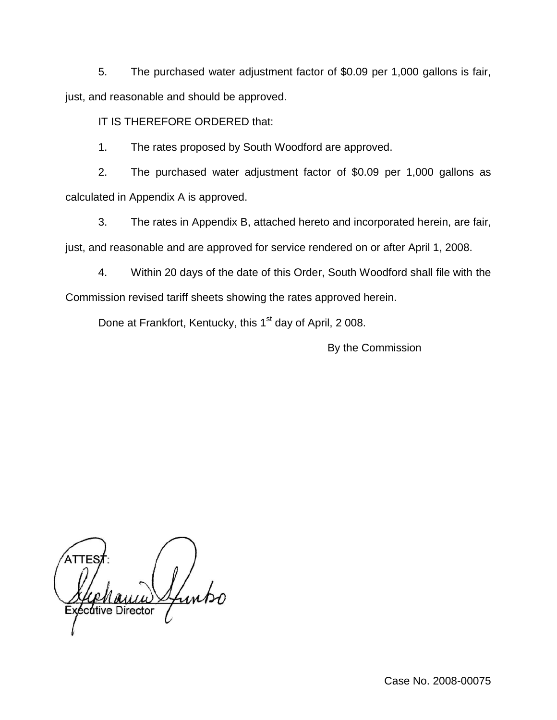5. The purchased water adjustment factor of \$0.09 per 1,000 gallons is fair, just, and reasonable and should be approved.

IT IS THEREFORE ORDERED that:

1. The rates proposed by South Woodford are approved.

2. The purchased water adjustment factor of \$0.09 per 1,000 gallons as calculated in Appendix A is approved.

3. The rates in Appendix B, attached hereto and incorporated herein, are fair, just, and reasonable and are approved for service rendered on or after April 1, 2008.

4. Within 20 days of the date of this Order, South Woodford shall file with the Commission revised tariff sheets showing the rates approved herein.

Done at Frankfort, Kentucky, this 1<sup>st</sup> day of April, 2008.

By the Commission

cutive Director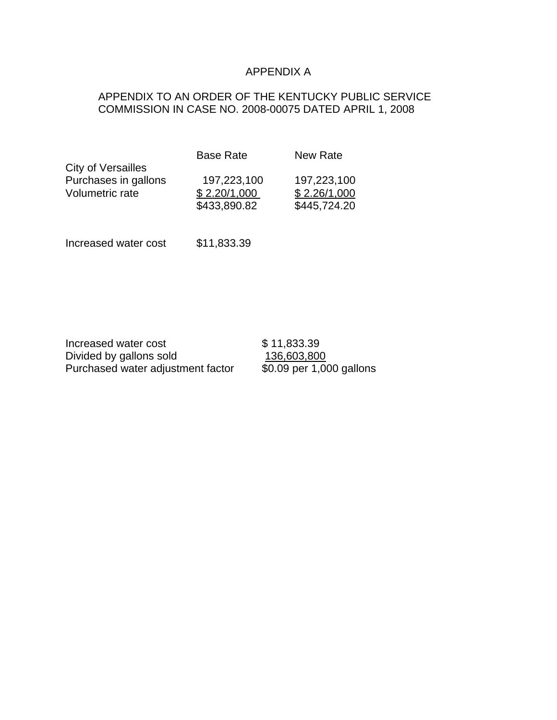# APPENDIX A

## APPENDIX TO AN ORDER OF THE KENTUCKY PUBLIC SERVICE COMMISSION IN CASE NO. 2008-00075 DATED APRIL 1, 2008

|                      | <b>Base Rate</b> | New Rate     |
|----------------------|------------------|--------------|
| City of Versailles   |                  |              |
| Purchases in gallons | 197,223,100      | 197,223,100  |
| Volumetric rate      | \$2.20/1,000     | \$2.26/1,000 |
|                      | \$433,890.82     | \$445,724.20 |
|                      |                  |              |

Increased water cost \$11,833.39

| Increased water cost              | \$11,833.39              |
|-----------------------------------|--------------------------|
| Divided by gallons sold           | 136,603,800              |
| Purchased water adjustment factor | \$0.09 per 1,000 gallons |